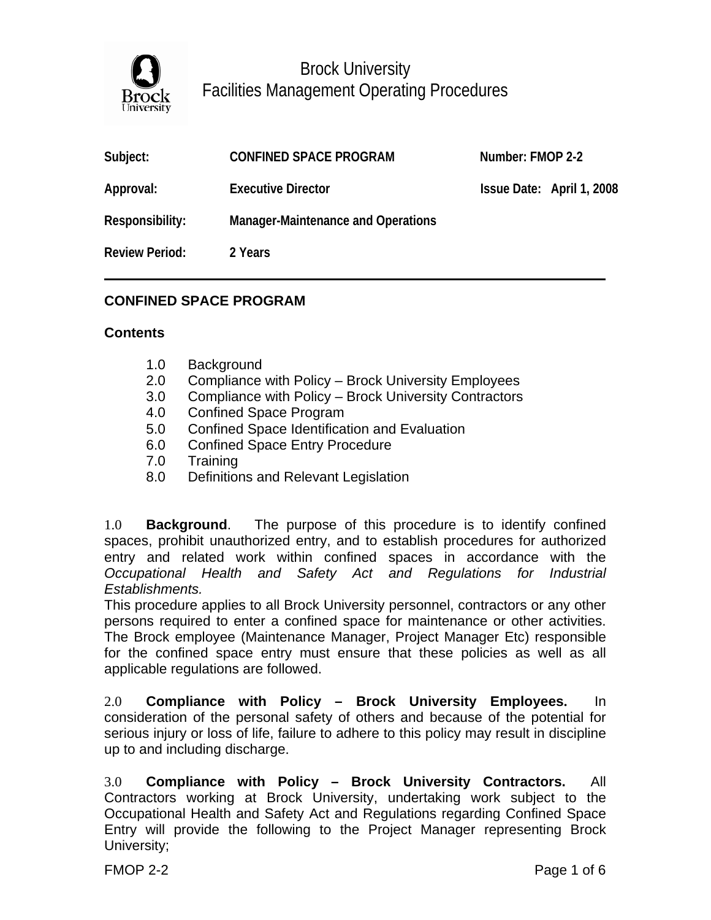

| Subject:              | <b>CONFINED SPACE PROGRAM</b>      | Number: FMOP 2-2 |                           |
|-----------------------|------------------------------------|------------------|---------------------------|
| Approval:             | <b>Executive Director</b>          |                  | Issue Date: April 1, 2008 |
| Responsibility:       | Manager-Maintenance and Operations |                  |                           |
| <b>Review Period:</b> | 2 Years                            |                  |                           |

#### **CONFINED SPACE PROGRAM**

#### **Contents**

- 1.0 Background
- 2.0 Compliance with Policy Brock University Employees
- 3.0 Compliance with Policy Brock University Contractors
- 4.0 Confined Space Program
- 5.0 Confined Space Identification and Evaluation
- 6.0 Confined Space Entry Procedure
- 7.0 Training
- 8.0 Definitions and Relevant Legislation

1.0 **Background**. The purpose of this procedure is to identify confined spaces, prohibit unauthorized entry, and to establish procedures for authorized entry and related work within confined spaces in accordance with the *Occupational Health and Safety Act and Regulations for Industrial Establishments.*

This procedure applies to all Brock University personnel, contractors or any other persons required to enter a confined space for maintenance or other activities. The Brock employee (Maintenance Manager, Project Manager Etc) responsible for the confined space entry must ensure that these policies as well as all applicable regulations are followed.

2.0 **Compliance with Policy – Brock University Employees.** In consideration of the personal safety of others and because of the potential for serious injury or loss of life, failure to adhere to this policy may result in discipline up to and including discharge.

3.0 **Compliance with Policy – Brock University Contractors.** All Contractors working at Brock University, undertaking work subject to the Occupational Health and Safety Act and Regulations regarding Confined Space Entry will provide the following to the Project Manager representing Brock University;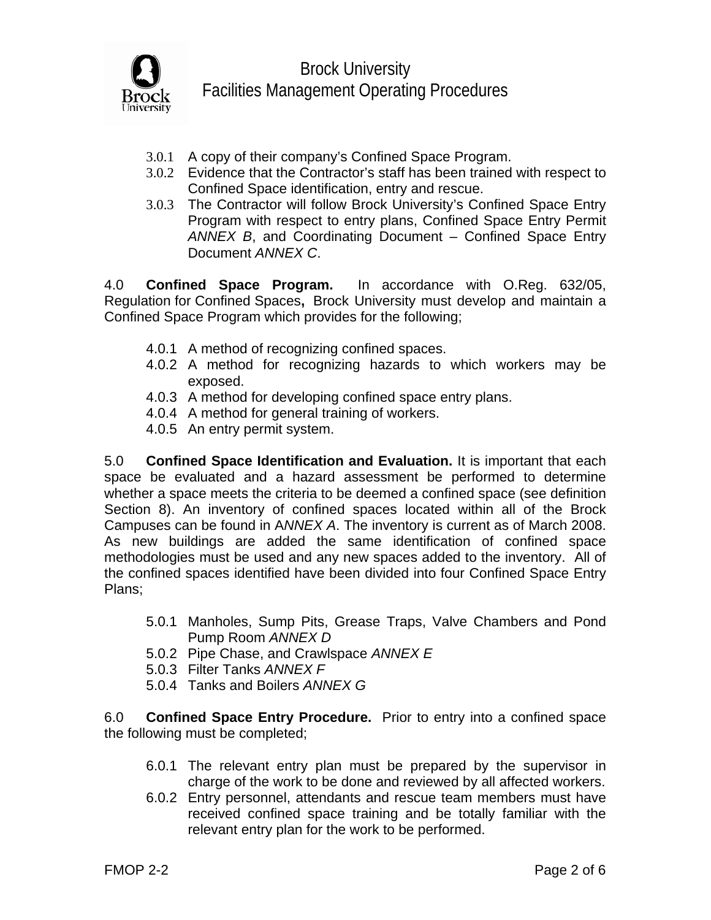

- 3.0.1 A copy of their company's Confined Space Program.
- 3.0.2 Evidence that the Contractor's staff has been trained with respect to Confined Space identification, entry and rescue.
- 3.0.3 The Contractor will follow Brock University's Confined Space Entry Program with respect to entry plans, Confined Space Entry Permit *ANNEX B*, and Coordinating Document – Confined Space Entry Document *ANNEX C*.

4.0 **Confined Space Program.** In accordance with O.Reg. 632/05, Regulation for Confined Spaces**,** Brock University must develop and maintain a Confined Space Program which provides for the following;

- 4.0.1 A method of recognizing confined spaces.
- 4.0.2 A method for recognizing hazards to which workers may be exposed.
- 4.0.3 A method for developing confined space entry plans.
- 4.0.4 A method for general training of workers.
- 4.0.5 An entry permit system.

5.0 **Confined Space Identification and Evaluation.** It is important that each space be evaluated and a hazard assessment be performed to determine whether a space meets the criteria to be deemed a confined space (see definition Section 8). An inventory of confined spaces located within all of the Brock Campuses can be found in A*NNEX A*. The inventory is current as of March 2008. As new buildings are added the same identification of confined space methodologies must be used and any new spaces added to the inventory. All of the confined spaces identified have been divided into four Confined Space Entry Plans;

- 5.0.1 Manholes, Sump Pits, Grease Traps, Valve Chambers and Pond Pump Room *ANNEX D*
- 5.0.2 Pipe Chase, and Crawlspace *ANNEX E*
- 5.0.3 Filter Tanks *ANNEX F*
- 5.0.4 Tanks and Boilers *ANNEX G*

6.0 **Confined Space Entry Procedure.** Prior to entry into a confined space the following must be completed;

- 6.0.1 The relevant entry plan must be prepared by the supervisor in charge of the work to be done and reviewed by all affected workers.
- 6.0.2 Entry personnel, attendants and rescue team members must have received confined space training and be totally familiar with the relevant entry plan for the work to be performed.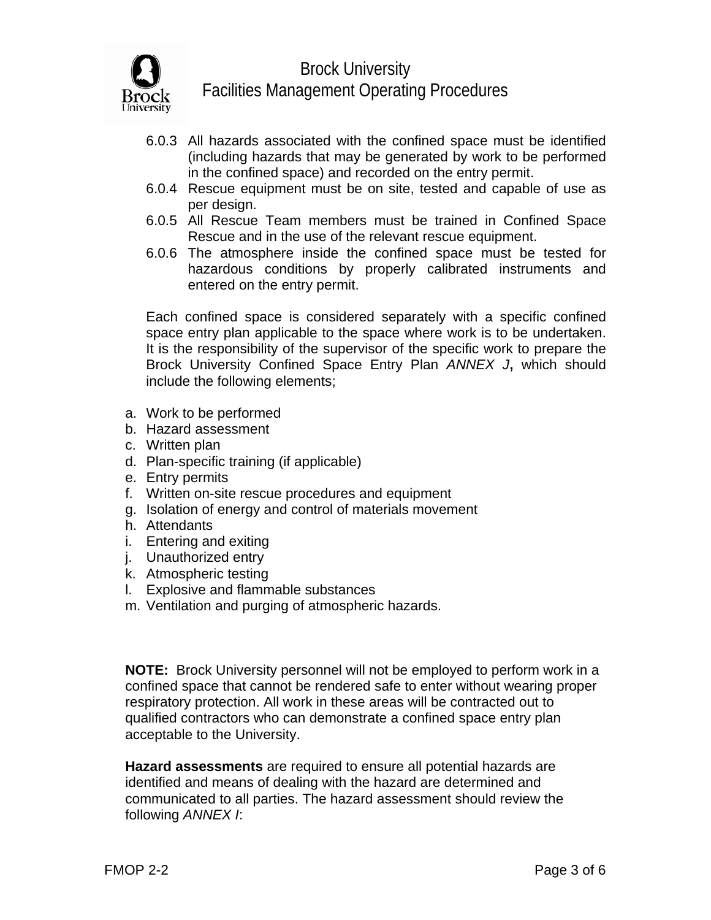

- 6.0.3 All hazards associated with the confined space must be identified (including hazards that may be generated by work to be performed in the confined space) and recorded on the entry permit.
- 6.0.4 Rescue equipment must be on site, tested and capable of use as per design.
- 6.0.5 All Rescue Team members must be trained in Confined Space Rescue and in the use of the relevant rescue equipment.
- 6.0.6 The atmosphere inside the confined space must be tested for hazardous conditions by properly calibrated instruments and entered on the entry permit.

Each confined space is considered separately with a specific confined space entry plan applicable to the space where work is to be undertaken. It is the responsibility of the supervisor of the specific work to prepare the Brock University Confined Space Entry Plan *ANNEX J***,** which should include the following elements;

- a. Work to be performed
- b. Hazard assessment
- c. Written plan
- d. Plan-specific training (if applicable)
- e. Entry permits
- f. Written on-site rescue procedures and equipment
- g. Isolation of energy and control of materials movement
- h. Attendants
- i. Entering and exiting
- j. Unauthorized entry
- k. Atmospheric testing
- l. Explosive and flammable substances
- m. Ventilation and purging of atmospheric hazards.

**NOTE:** Brock University personnel will not be employed to perform work in a confined space that cannot be rendered safe to enter without wearing proper respiratory protection. All work in these areas will be contracted out to qualified contractors who can demonstrate a confined space entry plan acceptable to the University.

**Hazard assessments** are required to ensure all potential hazards are identified and means of dealing with the hazard are determined and communicated to all parties. The hazard assessment should review the following *ANNEX I*: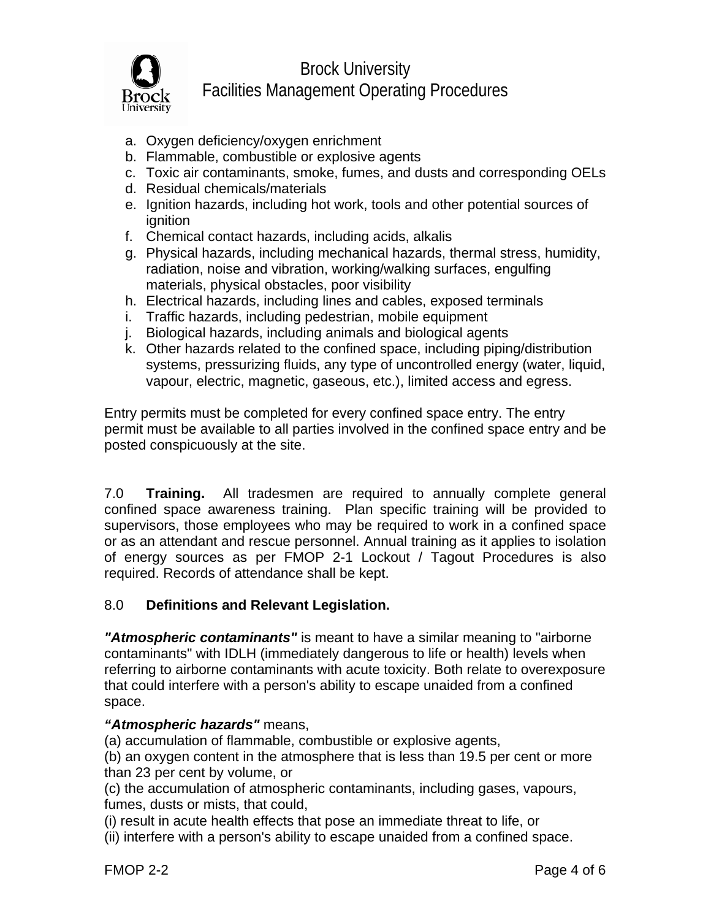

- a. Oxygen deficiency/oxygen enrichment
- b. Flammable, combustible or explosive agents
- c. Toxic air contaminants, smoke, fumes, and dusts and corresponding OELs
- d. Residual chemicals/materials
- e. Ignition hazards, including hot work, tools and other potential sources of ignition
- f. Chemical contact hazards, including acids, alkalis
- g. Physical hazards, including mechanical hazards, thermal stress, humidity, radiation, noise and vibration, working/walking surfaces, engulfing materials, physical obstacles, poor visibility
- h. Electrical hazards, including lines and cables, exposed terminals
- i. Traffic hazards, including pedestrian, mobile equipment
- j. Biological hazards, including animals and biological agents
- k. Other hazards related to the confined space, including piping/distribution systems, pressurizing fluids, any type of uncontrolled energy (water, liquid, vapour, electric, magnetic, gaseous, etc.), limited access and egress.

Entry permits must be completed for every confined space entry. The entry permit must be available to all parties involved in the confined space entry and be posted conspicuously at the site.

7.0 **Training.** All tradesmen are required to annually complete general confined space awareness training. Plan specific training will be provided to supervisors, those employees who may be required to work in a confined space or as an attendant and rescue personnel. Annual training as it applies to isolation of energy sources as per FMOP 2-1 Lockout / Tagout Procedures is also required. Records of attendance shall be kept.

### 8.0 **Definitions and Relevant Legislation.**

*"Atmospheric contaminants"* is meant to have a similar meaning to "airborne contaminants" with IDLH (immediately dangerous to life or health) levels when referring to airborne contaminants with acute toxicity. Both relate to overexposure that could interfere with a person's ability to escape unaided from a confined space.

### *"Atmospheric hazards"* means,

(a) accumulation of flammable, combustible or explosive agents,

(b) an oxygen content in the atmosphere that is less than 19.5 per cent or more than 23 per cent by volume, or

(c) the accumulation of atmospheric contaminants, including gases, vapours, fumes, dusts or mists, that could,

(i) result in acute health effects that pose an immediate threat to life, or

(ii) interfere with a person's ability to escape unaided from a confined space.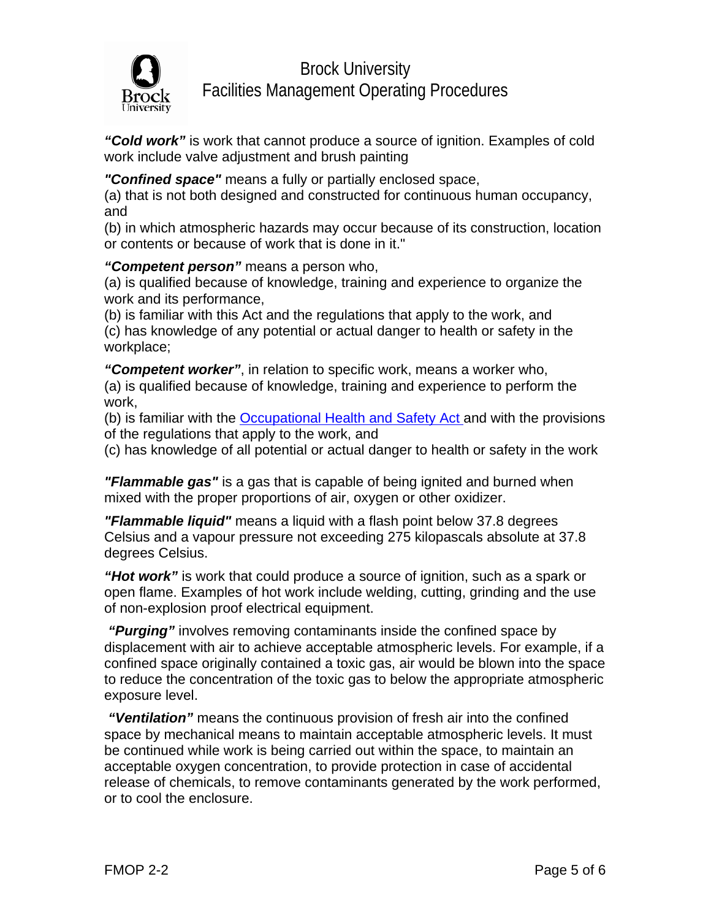

*"Cold work"* is work that cannot produce a source of ignition. Examples of cold work include valve adjustment and brush painting

*"Confined space"* means a fully or partially enclosed space,

(a) that is not both designed and constructed for continuous human occupancy, and

(b) in which atmospheric hazards may occur because of its construction, location or contents or because of work that is done in it."

#### *"Competent person"* means a person who,

(a) is qualified because of knowledge, training and experience to organize the work and its performance,

(b) is familiar with this Act and the regulations that apply to the work, and (c) has knowledge of any potential or actual danger to health or safety in the workplace;

*"Competent worker"*, in relation to specific work, means a worker who, (a) is qualified because of knowledge, training and experience to perform the work,

(b) is familiar with the [Occupational Health and Safety Act](http://www.e-laws.gov.on.ca/DBLaws/Statutes/English/90o01_e.htm) and with the provisions of the regulations that apply to the work, and

(c) has knowledge of all potential or actual danger to health or safety in the work

*"Flammable gas"* is a gas that is capable of being ignited and burned when mixed with the proper proportions of air, oxygen or other oxidizer.

*"Flammable liquid"* means a liquid with a flash point below 37.8 degrees Celsius and a vapour pressure not exceeding 275 kilopascals absolute at 37.8 degrees Celsius.

*"Hot work"* is work that could produce a source of ignition, such as a spark or open flame. Examples of hot work include welding, cutting, grinding and the use of non-explosion proof electrical equipment.

 *"Purging"* involves removing contaminants inside the confined space by displacement with air to achieve acceptable atmospheric levels. For example, if a confined space originally contained a toxic gas, air would be blown into the space to reduce the concentration of the toxic gas to below the appropriate atmospheric exposure level.

*"Ventilation"* means the continuous provision of fresh air into the confined space by mechanical means to maintain acceptable atmospheric levels. It must be continued while work is being carried out within the space, to maintain an acceptable oxygen concentration, to provide protection in case of accidental release of chemicals, to remove contaminants generated by the work performed, or to cool the enclosure.